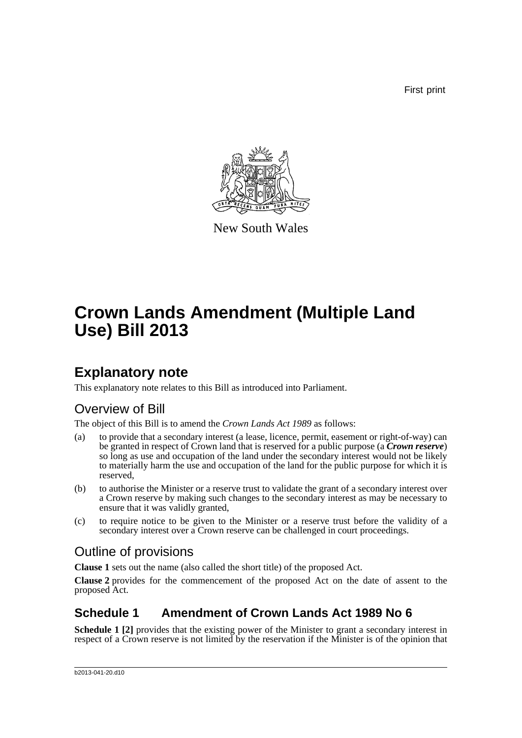First print



New South Wales

# **Crown Lands Amendment (Multiple Land Use) Bill 2013**

### **Explanatory note**

This explanatory note relates to this Bill as introduced into Parliament.

### Overview of Bill

The object of this Bill is to amend the *Crown Lands Act 1989* as follows:

- (a) to provide that a secondary interest (a lease, licence, permit, easement or right-of-way) can be granted in respect of Crown land that is reserved for a public purpose (a *Crown reserve*) so long as use and occupation of the land under the secondary interest would not be likely to materially harm the use and occupation of the land for the public purpose for which it is reserved,
- (b) to authorise the Minister or a reserve trust to validate the grant of a secondary interest over a Crown reserve by making such changes to the secondary interest as may be necessary to ensure that it was validly granted,
- (c) to require notice to be given to the Minister or a reserve trust before the validity of a secondary interest over a Crown reserve can be challenged in court proceedings.

### Outline of provisions

**Clause 1** sets out the name (also called the short title) of the proposed Act.

**Clause 2** provides for the commencement of the proposed Act on the date of assent to the proposed Act.

### **Schedule 1 Amendment of Crown Lands Act 1989 No 6**

**Schedule 1 [2]** provides that the existing power of the Minister to grant a secondary interest in respect of a Crown reserve is not limited by the reservation if the Minister is of the opinion that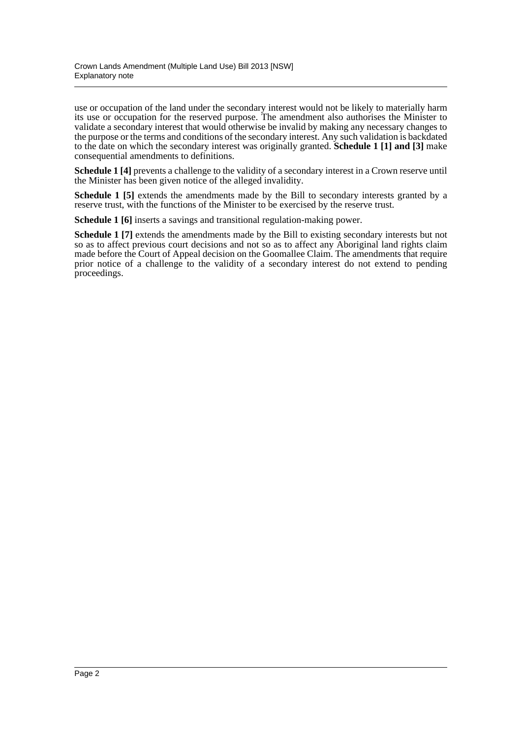use or occupation of the land under the secondary interest would not be likely to materially harm its use or occupation for the reserved purpose. The amendment also authorises the Minister to validate a secondary interest that would otherwise be invalid by making any necessary changes to the purpose or the terms and conditions of the secondary interest. Any such validation is backdated to the date on which the secondary interest was originally granted. **Schedule 1 [1] and [3]** make consequential amendments to definitions.

**Schedule 1 [4]** prevents a challenge to the validity of a secondary interest in a Crown reserve until the Minister has been given notice of the alleged invalidity.

**Schedule 1 [5]** extends the amendments made by the Bill to secondary interests granted by a reserve trust, with the functions of the Minister to be exercised by the reserve trust.

**Schedule 1 [6]** inserts a savings and transitional regulation-making power.

**Schedule 1 [7]** extends the amendments made by the Bill to existing secondary interests but not so as to affect previous court decisions and not so as to affect any Aboriginal land rights claim made before the Court of Appeal decision on the Goomallee Claim. The amendments that require prior notice of a challenge to the validity of a secondary interest do not extend to pending proceedings.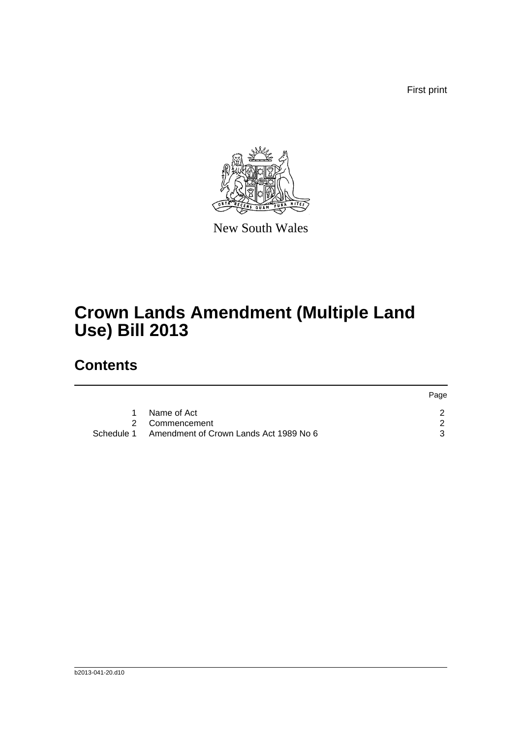First print



New South Wales

# **Crown Lands Amendment (Multiple Land Use) Bill 2013**

### **Contents**

|                                        | Page                         |
|----------------------------------------|------------------------------|
| Name of Act                            |                              |
|                                        |                              |
| Amendment of Crown Lands Act 1989 No 6 |                              |
|                                        | 2 Commencement<br>Schedule 1 |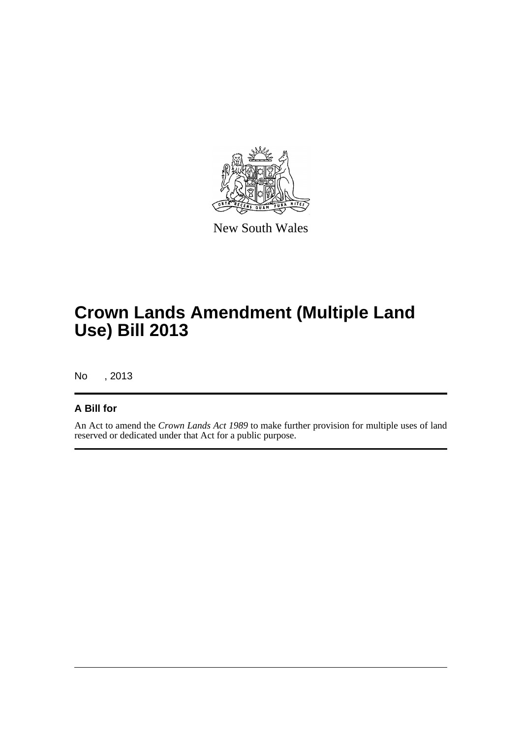

New South Wales

# **Crown Lands Amendment (Multiple Land Use) Bill 2013**

No , 2013

#### **A Bill for**

An Act to amend the *Crown Lands Act 1989* to make further provision for multiple uses of land reserved or dedicated under that Act for a public purpose.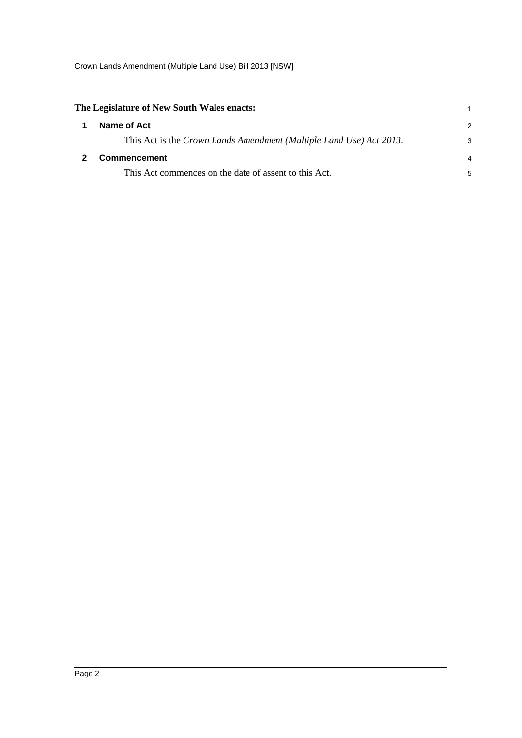Crown Lands Amendment (Multiple Land Use) Bill 2013 [NSW]

<span id="page-4-1"></span><span id="page-4-0"></span>

| Name of Act                                                         | $\mathcal{P}$                              |
|---------------------------------------------------------------------|--------------------------------------------|
| This Act is the Crown Lands Amendment (Multiple Land Use) Act 2013. | 3                                          |
| <b>Commencement</b>                                                 | 4                                          |
| This Act commences on the date of assent to this Act.               | 5                                          |
|                                                                     | The Legislature of New South Wales enacts: |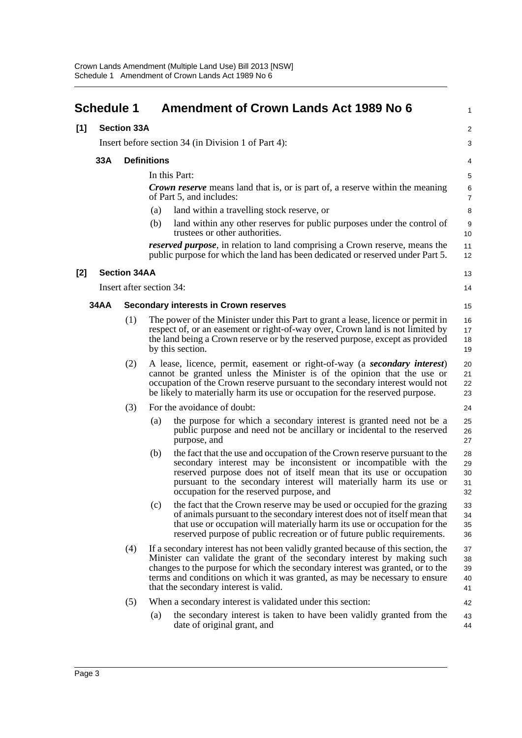<span id="page-5-0"></span>

|       | <b>Schedule 1</b>         |                     | <b>Amendment of Crown Lands Act 1989 No 6</b>                                                                                                                                                                                                                                                                                                                           | $\mathbf{1}$               |
|-------|---------------------------|---------------------|-------------------------------------------------------------------------------------------------------------------------------------------------------------------------------------------------------------------------------------------------------------------------------------------------------------------------------------------------------------------------|----------------------------|
| [1]   | <b>Section 33A</b>        |                     |                                                                                                                                                                                                                                                                                                                                                                         | $\overline{c}$             |
|       |                           |                     | Insert before section 34 (in Division 1 of Part 4):                                                                                                                                                                                                                                                                                                                     | 3                          |
|       | 33A<br><b>Definitions</b> |                     |                                                                                                                                                                                                                                                                                                                                                                         |                            |
|       |                           |                     | In this Part:                                                                                                                                                                                                                                                                                                                                                           | 5                          |
|       |                           |                     | <b>Crown reserve</b> means land that is, or is part of, a reserve within the meaning<br>of Part 5, and includes:                                                                                                                                                                                                                                                        | 6<br>$\overline{7}$        |
|       |                           |                     | land within a travelling stock reserve, or<br>(a)                                                                                                                                                                                                                                                                                                                       | 8                          |
|       |                           |                     | land within any other reserves for public purposes under the control of<br>(b)<br>trustees or other authorities.                                                                                                                                                                                                                                                        | 9<br>10                    |
|       |                           |                     | reserved purpose, in relation to land comprising a Crown reserve, means the<br>public purpose for which the land has been dedicated or reserved under Part 5.                                                                                                                                                                                                           | 11<br>12                   |
| $[2]$ |                           | <b>Section 34AA</b> |                                                                                                                                                                                                                                                                                                                                                                         | 13                         |
|       |                           |                     | Insert after section 34:                                                                                                                                                                                                                                                                                                                                                | 14                         |
|       | <b>34AA</b>               |                     | <b>Secondary interests in Crown reserves</b>                                                                                                                                                                                                                                                                                                                            | 15                         |
|       |                           | (1)                 | The power of the Minister under this Part to grant a lease, licence or permit in<br>respect of, or an easement or right-of-way over, Crown land is not limited by<br>the land being a Crown reserve or by the reserved purpose, except as provided<br>by this section.                                                                                                  | 16<br>17<br>18<br>19       |
|       |                           | (2)                 | A lease, licence, permit, easement or right-of-way (a secondary interest)<br>cannot be granted unless the Minister is of the opinion that the use or<br>occupation of the Crown reserve pursuant to the secondary interest would not<br>be likely to materially harm its use or occupation for the reserved purpose.                                                    | 20<br>21<br>22<br>23       |
|       |                           | (3)                 | For the avoidance of doubt:                                                                                                                                                                                                                                                                                                                                             | 24                         |
|       |                           |                     | the purpose for which a secondary interest is granted need not be a<br>(a)<br>public purpose and need not be ancillary or incidental to the reserved<br>purpose, and                                                                                                                                                                                                    | 25<br>26<br>27             |
|       |                           |                     | the fact that the use and occupation of the Crown reserve pursuant to the<br>(b)<br>secondary interest may be inconsistent or incompatible with the<br>reserved purpose does not of itself mean that its use or occupation<br>pursuant to the secondary interest will materially harm its use or<br>occupation for the reserved purpose, and                            | 28<br>29<br>30<br>31<br>32 |
|       |                           |                     | (c)<br>the fact that the Crown reserve may be used or occupied for the grazing<br>of animals pursuant to the secondary interest does not of itself mean that<br>that use or occupation will materially harm its use or occupation for the<br>reserved purpose of public recreation or of future public requirements.                                                    | 33<br>34<br>35<br>36       |
|       |                           | (4)                 | If a secondary interest has not been validly granted because of this section, the<br>Minister can validate the grant of the secondary interest by making such<br>changes to the purpose for which the secondary interest was granted, or to the<br>terms and conditions on which it was granted, as may be necessary to ensure<br>that the secondary interest is valid. | 37<br>38<br>39<br>40<br>41 |
|       |                           | (5)                 | When a secondary interest is validated under this section:<br>the secondary interest is taken to have been validly granted from the<br>(a)                                                                                                                                                                                                                              | 42<br>43                   |
|       |                           |                     | date of original grant, and                                                                                                                                                                                                                                                                                                                                             | 44                         |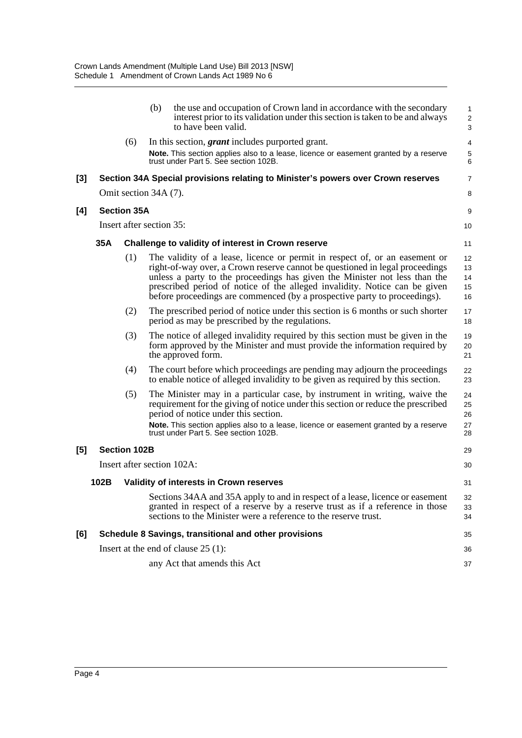|     |                            |                                                    | (b) | the use and occupation of Crown land in accordance with the secondary<br>interest prior to its validation under this section is taken to be and always<br>to have been valid.                                                                                                                                                                                                                        | 1<br>$\overline{c}$<br>3   |
|-----|----------------------------|----------------------------------------------------|-----|------------------------------------------------------------------------------------------------------------------------------------------------------------------------------------------------------------------------------------------------------------------------------------------------------------------------------------------------------------------------------------------------------|----------------------------|
|     |                            | (6)                                                |     | In this section, <i>grant</i> includes purported grant.                                                                                                                                                                                                                                                                                                                                              | 4                          |
|     |                            |                                                    |     | Note. This section applies also to a lease, licence or easement granted by a reserve<br>trust under Part 5. See section 102B.                                                                                                                                                                                                                                                                        | 5<br>6                     |
| [3] |                            |                                                    |     | Section 34A Special provisions relating to Minister's powers over Crown reserves                                                                                                                                                                                                                                                                                                                     | $\overline{7}$             |
|     |                            | Omit section 34A (7).                              |     |                                                                                                                                                                                                                                                                                                                                                                                                      | 8                          |
| [4] |                            | <b>Section 35A</b>                                 |     |                                                                                                                                                                                                                                                                                                                                                                                                      | 9                          |
|     |                            | Insert after section 35:                           |     |                                                                                                                                                                                                                                                                                                                                                                                                      |                            |
|     | 35A                        | Challenge to validity of interest in Crown reserve |     |                                                                                                                                                                                                                                                                                                                                                                                                      | 11                         |
|     |                            | (1)                                                |     | The validity of a lease, licence or permit in respect of, or an easement or<br>right-of-way over, a Crown reserve cannot be questioned in legal proceedings<br>unless a party to the proceedings has given the Minister not less than the<br>prescribed period of notice of the alleged invalidity. Notice can be given<br>before proceedings are commenced (by a prospective party to proceedings). | 12<br>13<br>14<br>15<br>16 |
|     |                            | (2)                                                |     | The prescribed period of notice under this section is 6 months or such shorter<br>period as may be prescribed by the regulations.                                                                                                                                                                                                                                                                    | 17<br>18                   |
|     |                            | (3)                                                |     | The notice of alleged invalidity required by this section must be given in the<br>form approved by the Minister and must provide the information required by<br>the approved form.                                                                                                                                                                                                                   | 19<br>20<br>21             |
|     |                            | (4)                                                |     | The court before which proceedings are pending may adjourn the proceedings<br>to enable notice of alleged invalidity to be given as required by this section.                                                                                                                                                                                                                                        | 22<br>23                   |
|     |                            | (5)                                                |     | The Minister may in a particular case, by instrument in writing, waive the<br>requirement for the giving of notice under this section or reduce the prescribed<br>period of notice under this section.<br>Note. This section applies also to a lease, licence or easement granted by a reserve                                                                                                       | 24<br>25<br>26<br>27       |
|     |                            |                                                    |     | trust under Part 5, See section 102B.                                                                                                                                                                                                                                                                                                                                                                | 28                         |
| [5] | <b>Section 102B</b>        |                                                    |     |                                                                                                                                                                                                                                                                                                                                                                                                      | 29                         |
|     | Insert after section 102A: |                                                    |     | 30                                                                                                                                                                                                                                                                                                                                                                                                   |                            |
|     | 102B                       |                                                    |     | Validity of interests in Crown reserves                                                                                                                                                                                                                                                                                                                                                              | 31                         |
|     |                            |                                                    |     | Sections 34AA and 35A apply to and in respect of a lease, licence or easement<br>granted in respect of a reserve by a reserve trust as if a reference in those<br>sections to the Minister were a reference to the reserve trust.                                                                                                                                                                    | 32<br>33<br>34             |
| [6] |                            |                                                    |     | Schedule 8 Savings, transitional and other provisions                                                                                                                                                                                                                                                                                                                                                | 35                         |
|     |                            | Insert at the end of clause $25(1)$ :              |     |                                                                                                                                                                                                                                                                                                                                                                                                      |                            |
|     |                            |                                                    |     | any Act that amends this Act                                                                                                                                                                                                                                                                                                                                                                         | 37                         |